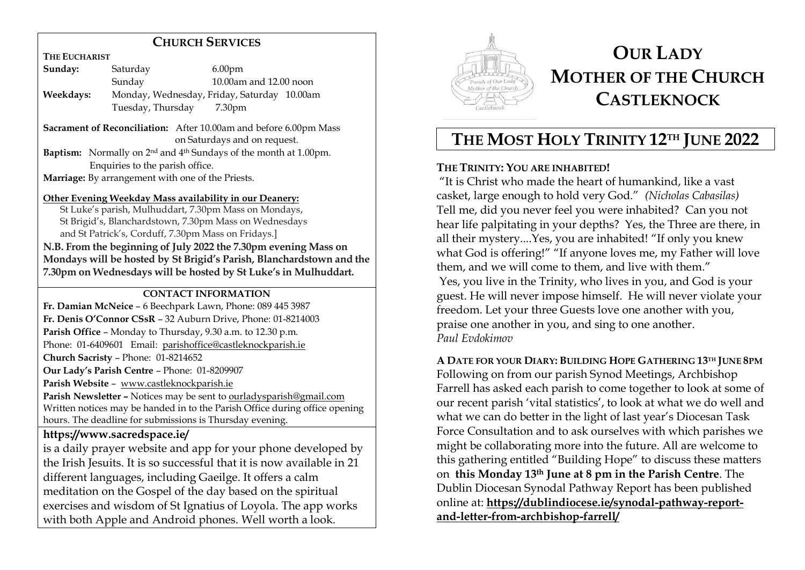# **CHURCH SERVICES**

**THE EUCHARIST**

| Sunday:   | Saturday          | 6.00 <sub>pm</sub>                          |
|-----------|-------------------|---------------------------------------------|
|           | Sunday            | 10.00am and 12.00 noon                      |
| Weekdays: |                   | Monday, Wednesday, Friday, Saturday 10.00am |
|           | Tuesday, Thursday | 7.30 <sub>pm</sub>                          |

**Sacrament of Reconciliation:** After 10.00am and before 6.00pm Mass on Saturdays and on request.

**Baptism:** Normally on 2nd and 4 th Sundays of the month at 1.00pm. Enquiries to the parish office.

**Marriage:** By arrangement with one of the Priests.

### **Other Evening Weekday Mass availability in our Deanery:**

 St Luke's parish, Mulhuddart, 7.30pm Mass on Mondays, St Brigid's, Blanchardstown, 7.30pm Mass on Wednesdays and St Patrick's, Corduff, 7.30pm Mass on Fridays.]

**N.B. From the beginning of July 2022 the 7.30pm evening Mass on Mondays will be hosted by St Brigid's Parish, Blanchardstown and the 7.30pm on Wednesdays will be hosted by St Luke's in Mulhuddart.** 

### **CONTACT INFORMATION**

**Fr. Damian McNeice** – 6 Beechpark Lawn, Phone: 089 445 3987 **Fr. Denis O'Connor CSsR** – 32 Auburn Drive, Phone: 01-8214003 **Parish Office** – Monday to Thursday, 9.30 a.m. to 12.30 p.m.

Phone: 01-6409601 Email: parishoffice@castleknockparish.ie

**Church Sacristy** – Phone: 01-8214652

**Our Lady's Parish Centre** – Phone: 01-8209907

**Parish Website** – www.castleknockparish.ie

**Parish Newsletter –** Notices may be sent to ourladysparish@gmail.com Written notices may be handed in to the Parish Office during office opening hours. The deadline for submissions is Thursday evening.

# **https://www.sacredspace.ie/**

is a daily prayer website and app for your phone developed by the Irish Jesuits. It is so successful that it is now available in 21 different languages, including Gaeilge. It offers a calm meditation on the Gospel of the day based on the spiritual exercises and wisdom of St Ignatius of Loyola. The app works with both Apple and Android phones. Well worth a look.



# **OUR LADY MOTHER OF THE CHURCH CASTLEKNOCK**

# **THE MOST HOLY TRINITY 12TH JUNE 2022**

# **THE TRINITY: YOU ARE INHABITED!**

"It is Christ who made the heart of humankind, like a vast casket, large enough to hold very God." *(Nicholas Cabasilas)* Tell me, did you never feel you were inhabited? Can you not hear life palpitating in your depths? Yes, the Three are there, in all their mystery....Yes, you are inhabited! "If only you knew what God is offering!" "If anyone loves me, my Father will love them, and we will come to them, and live with them." Yes, you live in the Trinity, who lives in you, and God is your guest. He will never impose himself. He will never violate your freedom. Let your three Guests love one another with you, praise one another in you, and sing to one another. *Paul Evdokimov*

**A DATE FOR YOUR DIARY: BUILDING HOPE GATHERING 13TH JUNE 8PM** Following on from our parish Synod Meetings, Archbishop Farrell has asked each parish to come together to look at some of our recent parish 'vital statistics', to look at what we do well and what we can do better in the light of last year's Diocesan Task Force Consultation and to ask ourselves with which parishes we might be collaborating more into the future. All are welcome to this gathering entitled "Building Hope" to discuss these matters on **this Monday 13th June at 8 pm in the Parish Centre**. The Dublin Diocesan Synodal Pathway Report has been published online at: **https://dublindiocese.ie/synodal-pathway-reportand-letter-from-archbishop-farrell/**